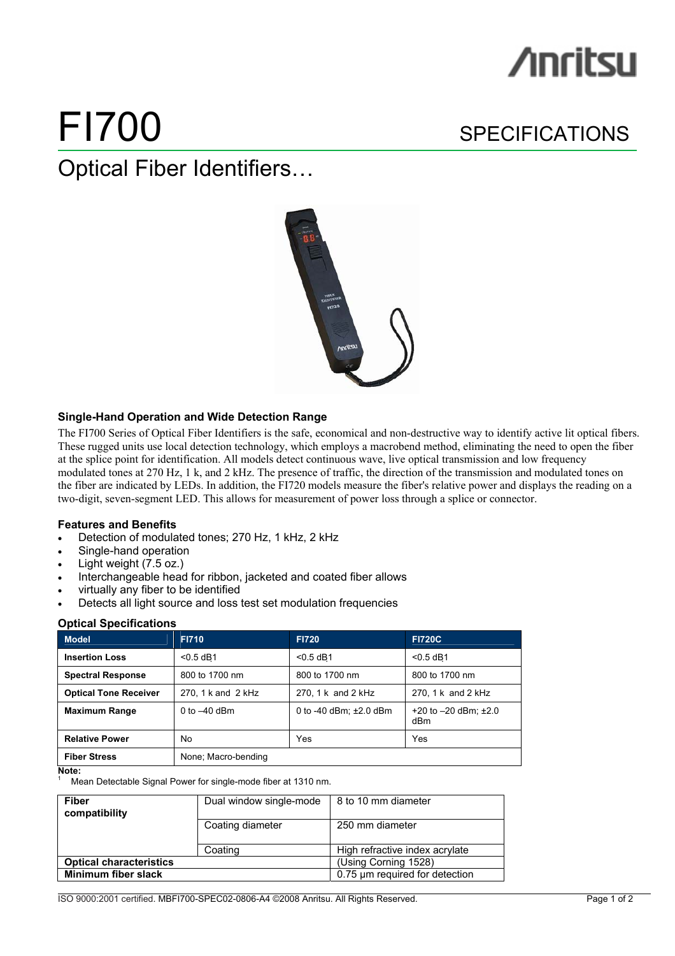# **∕ìnritsu**

# FI700 SPECIFICATIONS

Optical Fiber Identifiers…



# **Single-Hand Operation and Wide Detection Range**

The FI700 Series of Optical Fiber Identifiers is the safe, economical and non-destructive way to identify active lit optical fibers. These rugged units use local detection technology, which employs a macrobend method, eliminating the need to open the fiber at the splice point for identification. All models detect continuous wave, live optical transmission and low frequency modulated tones at 270 Hz, 1 k, and 2 kHz. The presence of traffic, the direction of the transmission and modulated tones on the fiber are indicated by LEDs. In addition, the FI720 models measure the fiber's relative power and displays the reading on a two-digit, seven-segment LED. This allows for measurement of power loss through a splice or connector.

# **Features and Benefits**

- Detection of modulated tones; 270 Hz, 1 kHz, 2 kHz
- Single-hand operation
- Light weight (7.5 oz.)
- Interchangeable head for ribbon, jacketed and coated fiber allows
- virtually any fiber to be identified
- Detects all light source and loss test set modulation frequencies

# **Optical Specifications**

| <b>Model</b>                 | <b>FI710</b>        | <b>FI720</b>                | <b>FI720C</b>                        |
|------------------------------|---------------------|-----------------------------|--------------------------------------|
| <b>Insertion Loss</b>        | $< 0.5$ dB1         | $< 0.5$ dB1                 | $< 0.5$ dB1                          |
| <b>Spectral Response</b>     | 800 to 1700 nm      | 800 to 1700 nm              | 800 to 1700 nm                       |
| <b>Optical Tone Receiver</b> | 270, 1 k and 2 kHz  | 270, 1 k and 2 kHz          | 270, 1 k and 2 kHz                   |
| <b>Maximum Range</b>         | 0 to $-40$ dBm      | 0 to -40 dBm: $\pm 2.0$ dBm | $+20$ to $-20$ dBm: $\pm 2.0$<br>dBm |
| <b>Relative Power</b>        | No                  | Yes                         | Yes                                  |
| <b>Fiber Stress</b>          | None: Macro-bending |                             |                                      |

**Note:** 

1

Mean Detectable Signal Power for single-mode fiber at 1310 nm.

| <b>Fiber</b><br>compatibility  | Dual window single-mode | 8 to 10 mm diameter            |
|--------------------------------|-------------------------|--------------------------------|
|                                | Coating diameter        | 250 mm diameter                |
|                                | Coating                 | High refractive index acrylate |
| <b>Optical characteristics</b> |                         | (Using Corning 1528)           |
| Minimum fiber slack            |                         | 0.75 um required for detection |